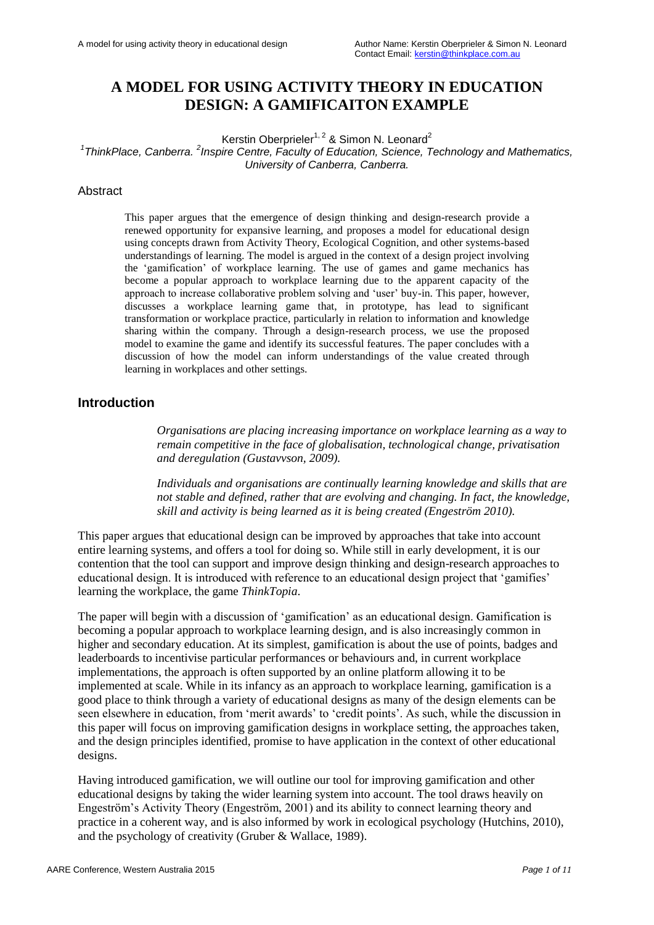# **A MODEL FOR USING ACTIVITY THEORY IN EDUCATION DESIGN: A GAMIFICAITON EXAMPLE**

Kerstin Oberprieler<sup>1, 2</sup> & Simon N. Leonard<sup>2</sup>

<sup>1</sup>ThinkPlace, Canberra. <sup>2</sup> Inspire Centre, Faculty of Education, Science, Technology and Mathematics, *University of Canberra, Canberra.* 

#### Abstract

This paper argues that the emergence of design thinking and design-research provide a renewed opportunity for expansive learning, and proposes a model for educational design using concepts drawn from Activity Theory, Ecological Cognition, and other systems-based understandings of learning. The model is argued in the context of a design project involving the "gamification" of workplace learning. The use of games and game mechanics has become a popular approach to workplace learning due to the apparent capacity of the approach to increase collaborative problem solving and "user" buy-in. This paper, however, discusses a workplace learning game that, in prototype, has lead to significant transformation or workplace practice, particularly in relation to information and knowledge sharing within the company. Through a design-research process, we use the proposed model to examine the game and identify its successful features. The paper concludes with a discussion of how the model can inform understandings of the value created through learning in workplaces and other settings.

### **Introduction**

*Organisations are placing increasing importance on workplace learning as a way to remain competitive in the face of globalisation, technological change, privatisation and deregulation (Gustavvson, 2009).* 

*Individuals and organisations are continually learning knowledge and skills that are not stable and defined, rather that are evolving and changing. In fact, the knowledge, skill and activity is being learned as it is being created (Engeström 2010).* 

This paper argues that educational design can be improved by approaches that take into account entire learning systems, and offers a tool for doing so. While still in early development, it is our contention that the tool can support and improve design thinking and design-research approaches to educational design. It is introduced with reference to an educational design project that 'gamifies' learning the workplace, the game *ThinkTopia*.

The paper will begin with a discussion of 'gamification' as an educational design. Gamification is becoming a popular approach to workplace learning design, and is also increasingly common in higher and secondary education. At its simplest, gamification is about the use of points, badges and leaderboards to incentivise particular performances or behaviours and, in current workplace implementations, the approach is often supported by an online platform allowing it to be implemented at scale. While in its infancy as an approach to workplace learning, gamification is a good place to think through a variety of educational designs as many of the design elements can be seen elsewhere in education, from 'merit awards' to 'credit points'. As such, while the discussion in this paper will focus on improving gamification designs in workplace setting, the approaches taken, and the design principles identified, promise to have application in the context of other educational designs.

Having introduced gamification, we will outline our tool for improving gamification and other educational designs by taking the wider learning system into account. The tool draws heavily on Engeström"s Activity Theory (Engeström, 2001) and its ability to connect learning theory and practice in a coherent way, and is also informed by work in ecological psychology (Hutchins, 2010), and the psychology of creativity (Gruber & Wallace, 1989).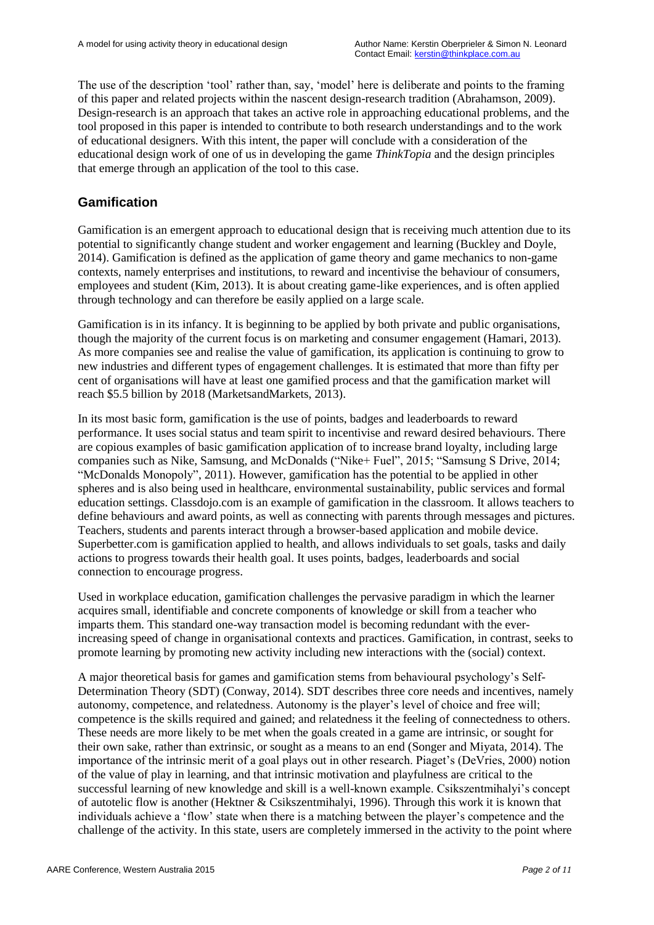The use of the description "tool" rather than, say, "model" here is deliberate and points to the framing of this paper and related projects within the nascent design-research tradition (Abrahamson, 2009). Design-research is an approach that takes an active role in approaching educational problems, and the tool proposed in this paper is intended to contribute to both research understandings and to the work of educational designers. With this intent, the paper will conclude with a consideration of the educational design work of one of us in developing the game *ThinkTopia* and the design principles that emerge through an application of the tool to this case.

## **Gamification**

Gamification is an emergent approach to educational design that is receiving much attention due to its potential to significantly change student and worker engagement and learning (Buckley and Doyle, 2014). Gamification is defined as the application of game theory and game mechanics to non-game contexts, namely enterprises and institutions, to reward and incentivise the behaviour of consumers, employees and student (Kim, 2013). It is about creating game-like experiences, and is often applied through technology and can therefore be easily applied on a large scale.

Gamification is in its infancy. It is beginning to be applied by both private and public organisations, though the majority of the current focus is on marketing and consumer engagement (Hamari, 2013). As more companies see and realise the value of gamification, its application is continuing to grow to new industries and different types of engagement challenges. It is estimated that more than fifty per cent of organisations will have at least one gamified process and that the gamification market will reach \$5.5 billion by 2018 (MarketsandMarkets, 2013).

In its most basic form, gamification is the use of points, badges and leaderboards to reward performance. It uses social status and team spirit to incentivise and reward desired behaviours. There are copious examples of basic gamification application of to increase brand loyalty, including large companies such as Nike, Samsung, and McDonalds ("Nike+ Fuel", 2015; "Samsung S Drive, 2014; "McDonalds Monopoly", 2011). However, gamification has the potential to be applied in other spheres and is also being used in healthcare, environmental sustainability, public services and formal education settings. Classdojo.com is an example of gamification in the classroom. It allows teachers to define behaviours and award points, as well as connecting with parents through messages and pictures. Teachers, students and parents interact through a browser-based application and mobile device. Superbetter.com is gamification applied to health, and allows individuals to set goals, tasks and daily actions to progress towards their health goal. It uses points, badges, leaderboards and social connection to encourage progress.

Used in workplace education, gamification challenges the pervasive paradigm in which the learner acquires small, identifiable and concrete components of knowledge or skill from a teacher who imparts them. This standard one-way transaction model is becoming redundant with the everincreasing speed of change in organisational contexts and practices. Gamification, in contrast, seeks to promote learning by promoting new activity including new interactions with the (social) context.

A major theoretical basis for games and gamification stems from behavioural psychology"s Self-Determination Theory (SDT) (Conway, 2014). SDT describes three core needs and incentives, namely autonomy, competence, and relatedness. Autonomy is the player"s level of choice and free will; competence is the skills required and gained; and relatedness it the feeling of connectedness to others. These needs are more likely to be met when the goals created in a game are intrinsic, or sought for their own sake, rather than extrinsic, or sought as a means to an end (Songer and Miyata, 2014). The importance of the intrinsic merit of a goal plays out in other research. Piaget's (DeVries, 2000) notion of the value of play in learning, and that intrinsic motivation and playfulness are critical to the successful learning of new knowledge and skill is a well-known example. Csikszentmihalyi"s concept of autotelic flow is another (Hektner & Csikszentmihalyi, 1996). Through this work it is known that individuals achieve a 'flow' state when there is a matching between the player's competence and the challenge of the activity. In this state, users are completely immersed in the activity to the point where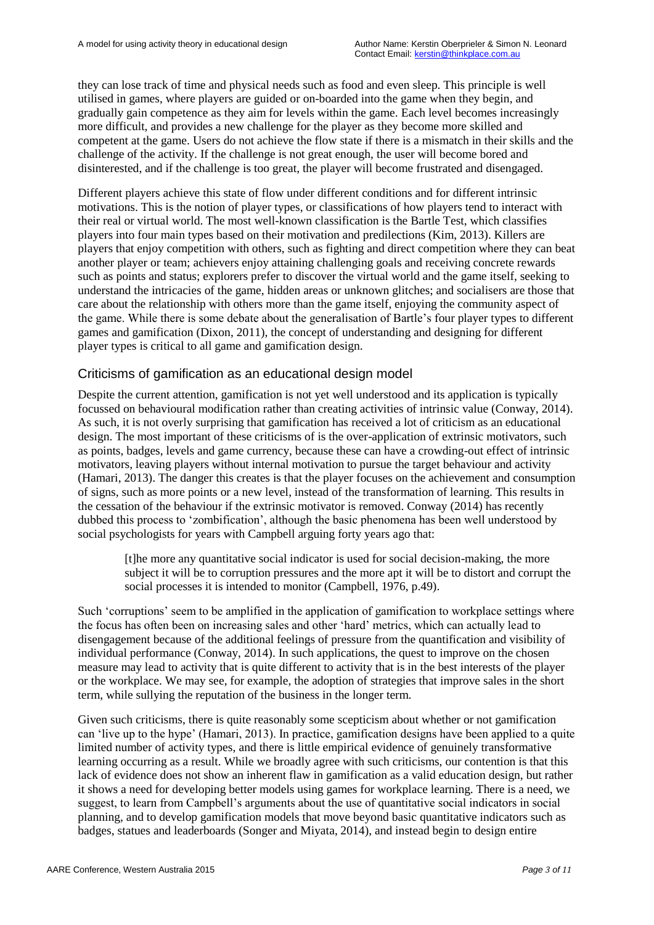they can lose track of time and physical needs such as food and even sleep. This principle is well utilised in games, where players are guided or on-boarded into the game when they begin, and gradually gain competence as they aim for levels within the game. Each level becomes increasingly more difficult, and provides a new challenge for the player as they become more skilled and competent at the game. Users do not achieve the flow state if there is a mismatch in their skills and the challenge of the activity. If the challenge is not great enough, the user will become bored and disinterested, and if the challenge is too great, the player will become frustrated and disengaged.

Different players achieve this state of flow under different conditions and for different intrinsic motivations. This is the notion of player types, or classifications of how players tend to interact with their real or virtual world. The most well-known classification is the Bartle Test, which classifies players into four main types based on their motivation and predilections (Kim, 2013). Killers are players that enjoy competition with others, such as fighting and direct competition where they can beat another player or team; achievers enjoy attaining challenging goals and receiving concrete rewards such as points and status; explorers prefer to discover the virtual world and the game itself, seeking to understand the intricacies of the game, hidden areas or unknown glitches; and socialisers are those that care about the relationship with others more than the game itself, enjoying the community aspect of the game. While there is some debate about the generalisation of Bartle"s four player types to different games and gamification (Dixon, 2011), the concept of understanding and designing for different player types is critical to all game and gamification design.

### Criticisms of gamification as an educational design model

Despite the current attention, gamification is not yet well understood and its application is typically focussed on behavioural modification rather than creating activities of intrinsic value (Conway, 2014). As such, it is not overly surprising that gamification has received a lot of criticism as an educational design. The most important of these criticisms of is the over-application of extrinsic motivators, such as points, badges, levels and game currency, because these can have a crowding-out effect of intrinsic motivators, leaving players without internal motivation to pursue the target behaviour and activity (Hamari, 2013). The danger this creates is that the player focuses on the achievement and consumption of signs, such as more points or a new level, instead of the transformation of learning. This results in the cessation of the behaviour if the extrinsic motivator is removed. Conway (2014) has recently dubbed this process to "zombification", although the basic phenomena has been well understood by social psychologists for years with Campbell arguing forty years ago that:

[t]he more any quantitative social indicator is used for social decision-making, the more subject it will be to corruption pressures and the more apt it will be to distort and corrupt the social processes it is intended to monitor (Campbell, 1976, p.49).

Such "corruptions" seem to be amplified in the application of gamification to workplace settings where the focus has often been on increasing sales and other "hard" metrics, which can actually lead to disengagement because of the additional feelings of pressure from the quantification and visibility of individual performance (Conway, 2014). In such applications, the quest to improve on the chosen measure may lead to activity that is quite different to activity that is in the best interests of the player or the workplace. We may see, for example, the adoption of strategies that improve sales in the short term, while sullying the reputation of the business in the longer term.

Given such criticisms, there is quite reasonably some scepticism about whether or not gamification can "live up to the hype" (Hamari, 2013). In practice, gamification designs have been applied to a quite limited number of activity types, and there is little empirical evidence of genuinely transformative learning occurring as a result. While we broadly agree with such criticisms, our contention is that this lack of evidence does not show an inherent flaw in gamification as a valid education design, but rather it shows a need for developing better models using games for workplace learning. There is a need, we suggest, to learn from Campbell"s arguments about the use of quantitative social indicators in social planning, and to develop gamification models that move beyond basic quantitative indicators such as badges, statues and leaderboards (Songer and Miyata, 2014), and instead begin to design entire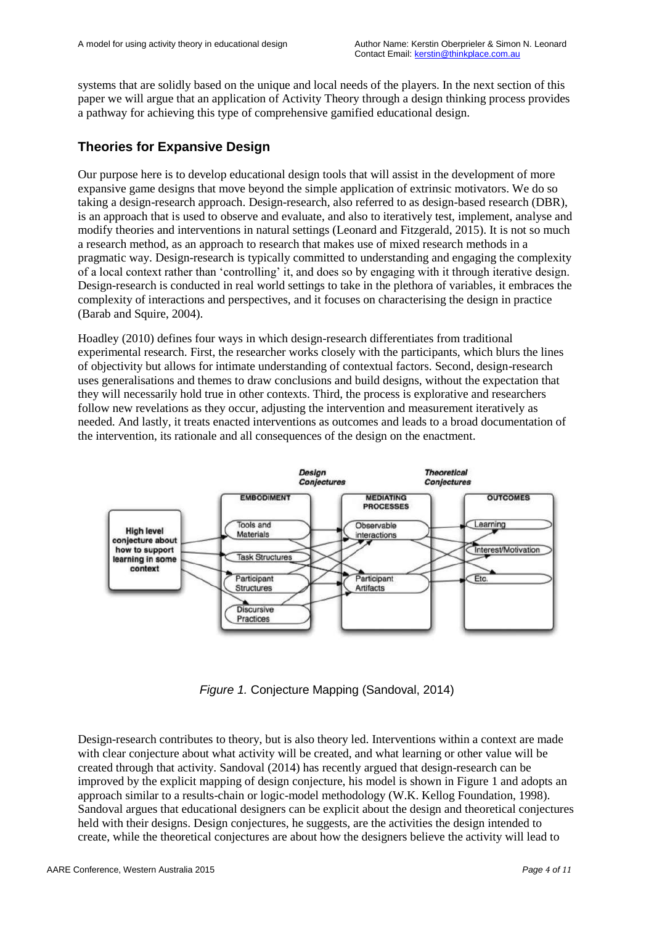systems that are solidly based on the unique and local needs of the players. In the next section of this paper we will argue that an application of Activity Theory through a design thinking process provides a pathway for achieving this type of comprehensive gamified educational design.

## **Theories for Expansive Design**

Our purpose here is to develop educational design tools that will assist in the development of more expansive game designs that move beyond the simple application of extrinsic motivators. We do so taking a design-research approach. Design-research, also referred to as design-based research (DBR), is an approach that is used to observe and evaluate, and also to iteratively test, implement, analyse and modify theories and interventions in natural settings (Leonard and Fitzgerald, 2015). It is not so much a research method, as an approach to research that makes use of mixed research methods in a pragmatic way. Design-research is typically committed to understanding and engaging the complexity of a local context rather than "controlling" it, and does so by engaging with it through iterative design. Design-research is conducted in real world settings to take in the plethora of variables, it embraces the complexity of interactions and perspectives, and it focuses on characterising the design in practice (Barab and Squire, 2004).

Hoadley (2010) defines four ways in which design-research differentiates from traditional experimental research. First, the researcher works closely with the participants, which blurs the lines of objectivity but allows for intimate understanding of contextual factors. Second, design-research uses generalisations and themes to draw conclusions and build designs, without the expectation that they will necessarily hold true in other contexts. Third, the process is explorative and researchers follow new revelations as they occur, adjusting the intervention and measurement iteratively as needed. And lastly, it treats enacted interventions as outcomes and leads to a broad documentation of the intervention, its rationale and all consequences of the design on the enactment.



*Figure 1.* Conjecture Mapping (Sandoval, 2014)

Design-research contributes to theory, but is also theory led. Interventions within a context are made with clear conjecture about what activity will be created, and what learning or other value will be created through that activity. Sandoval (2014) has recently argued that design-research can be improved by the explicit mapping of design conjecture, his model is shown in Figure 1 and adopts an approach similar to a results-chain or logic-model methodology (W.K. Kellog Foundation, 1998). Sandoval argues that educational designers can be explicit about the design and theoretical conjectures held with their designs. Design conjectures, he suggests, are the activities the design intended to create, while the theoretical conjectures are about how the designers believe the activity will lead to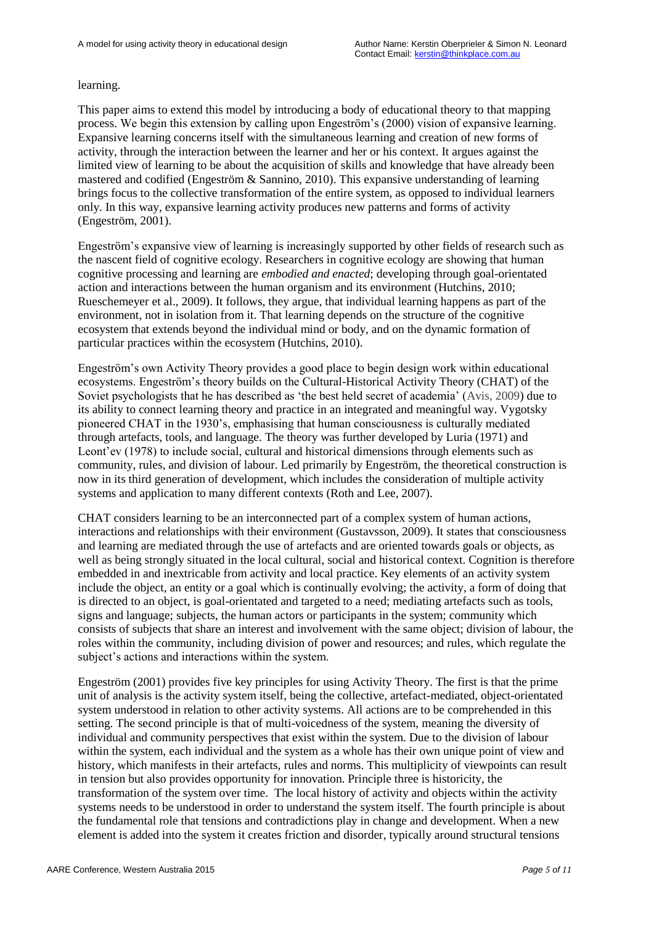#### learning.

This paper aims to extend this model by introducing a body of educational theory to that mapping process. We begin this extension by calling upon Engeström"s (2000) vision of expansive learning. Expansive learning concerns itself with the simultaneous learning and creation of new forms of activity, through the interaction between the learner and her or his context. It argues against the limited view of learning to be about the acquisition of skills and knowledge that have already been mastered and codified (Engeström & Sannino, 2010). This expansive understanding of learning brings focus to the collective transformation of the entire system, as opposed to individual learners only. In this way, expansive learning activity produces new patterns and forms of activity (Engeström, 2001).

Engeström"s expansive view of learning is increasingly supported by other fields of research such as the nascent field of cognitive ecology. Researchers in cognitive ecology are showing that human cognitive processing and learning are *embodied and enacted*; developing through goal-orientated action and interactions between the human organism and its environment (Hutchins, 2010; Rueschemeyer et al., 2009). It follows, they argue, that individual learning happens as part of the environment, not in isolation from it. That learning depends on the structure of the cognitive ecosystem that extends beyond the individual mind or body, and on the dynamic formation of particular practices within the ecosystem (Hutchins, 2010).

Engeström"s own Activity Theory provides a good place to begin design work within educational ecosystems. Engeström"s theory builds on the Cultural-Historical Activity Theory (CHAT) of the Soviet psychologists that he has described as "the best held secret of academia" (Avis, 2009) due to its ability to connect learning theory and practice in an integrated and meaningful way. Vygotsky pioneered CHAT in the 1930"s, emphasising that human consciousness is culturally mediated through artefacts, tools, and language. The theory was further developed by Luria (1971) and Leont"ev (1978) to include social, cultural and historical dimensions through elements such as community, rules, and division of labour. Led primarily by Engeström, the theoretical construction is now in its third generation of development, which includes the consideration of multiple activity systems and application to many different contexts (Roth and Lee, 2007).

CHAT considers learning to be an interconnected part of a complex system of human actions, interactions and relationships with their environment (Gustavsson, 2009). It states that consciousness and learning are mediated through the use of artefacts and are oriented towards goals or objects, as well as being strongly situated in the local cultural, social and historical context. Cognition is therefore embedded in and inextricable from activity and local practice. Key elements of an activity system include the object, an entity or a goal which is continually evolving; the activity, a form of doing that is directed to an object, is goal-orientated and targeted to a need; mediating artefacts such as tools, signs and language; subjects, the human actors or participants in the system; community which consists of subjects that share an interest and involvement with the same object; division of labour, the roles within the community, including division of power and resources; and rules, which regulate the subject's actions and interactions within the system.

Engeström (2001) provides five key principles for using Activity Theory. The first is that the prime unit of analysis is the activity system itself, being the collective, artefact-mediated, object-orientated system understood in relation to other activity systems. All actions are to be comprehended in this setting. The second principle is that of multi-voicedness of the system, meaning the diversity of individual and community perspectives that exist within the system. Due to the division of labour within the system, each individual and the system as a whole has their own unique point of view and history, which manifests in their artefacts, rules and norms. This multiplicity of viewpoints can result in tension but also provides opportunity for innovation. Principle three is historicity, the transformation of the system over time. The local history of activity and objects within the activity systems needs to be understood in order to understand the system itself. The fourth principle is about the fundamental role that tensions and contradictions play in change and development. When a new element is added into the system it creates friction and disorder, typically around structural tensions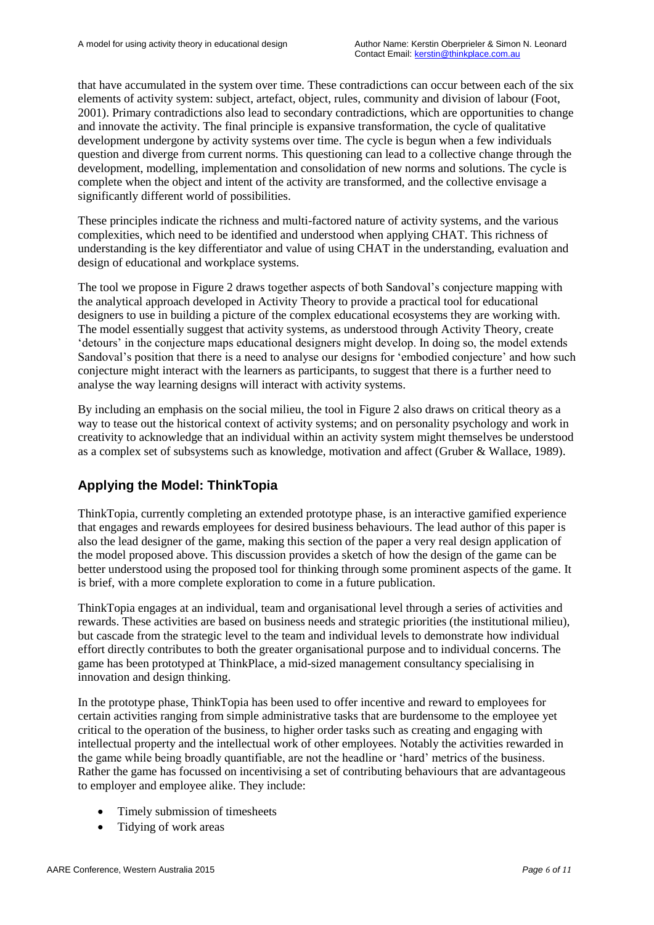that have accumulated in the system over time. These contradictions can occur between each of the six elements of activity system: subject, artefact, object, rules, community and division of labour (Foot, 2001). Primary contradictions also lead to secondary contradictions, which are opportunities to change and innovate the activity. The final principle is expansive transformation, the cycle of qualitative development undergone by activity systems over time. The cycle is begun when a few individuals question and diverge from current norms. This questioning can lead to a collective change through the development, modelling, implementation and consolidation of new norms and solutions. The cycle is complete when the object and intent of the activity are transformed, and the collective envisage a significantly different world of possibilities.

These principles indicate the richness and multi-factored nature of activity systems, and the various complexities, which need to be identified and understood when applying CHAT. This richness of understanding is the key differentiator and value of using CHAT in the understanding, evaluation and design of educational and workplace systems.

The tool we propose in Figure 2 draws together aspects of both Sandoval's conjecture mapping with the analytical approach developed in Activity Theory to provide a practical tool for educational designers to use in building a picture of the complex educational ecosystems they are working with. The model essentially suggest that activity systems, as understood through Activity Theory, create "detours" in the conjecture maps educational designers might develop. In doing so, the model extends Sandoval's position that there is a need to analyse our designs for 'embodied conjecture' and how such conjecture might interact with the learners as participants, to suggest that there is a further need to analyse the way learning designs will interact with activity systems.

By including an emphasis on the social milieu, the tool in Figure 2 also draws on critical theory as a way to tease out the historical context of activity systems; and on personality psychology and work in creativity to acknowledge that an individual within an activity system might themselves be understood as a complex set of subsystems such as knowledge, motivation and affect (Gruber & Wallace, 1989).

## **Applying the Model: ThinkTopia**

ThinkTopia, currently completing an extended prototype phase, is an interactive gamified experience that engages and rewards employees for desired business behaviours. The lead author of this paper is also the lead designer of the game, making this section of the paper a very real design application of the model proposed above. This discussion provides a sketch of how the design of the game can be better understood using the proposed tool for thinking through some prominent aspects of the game. It is brief, with a more complete exploration to come in a future publication.

ThinkTopia engages at an individual, team and organisational level through a series of activities and rewards. These activities are based on business needs and strategic priorities (the institutional milieu), but cascade from the strategic level to the team and individual levels to demonstrate how individual effort directly contributes to both the greater organisational purpose and to individual concerns. The game has been prototyped at ThinkPlace, a mid-sized management consultancy specialising in innovation and design thinking.

In the prototype phase, ThinkTopia has been used to offer incentive and reward to employees for certain activities ranging from simple administrative tasks that are burdensome to the employee yet critical to the operation of the business, to higher order tasks such as creating and engaging with intellectual property and the intellectual work of other employees. Notably the activities rewarded in the game while being broadly quantifiable, are not the headline or "hard" metrics of the business. Rather the game has focussed on incentivising a set of contributing behaviours that are advantageous to employer and employee alike. They include:

- Timely submission of timesheets
- Tidying of work areas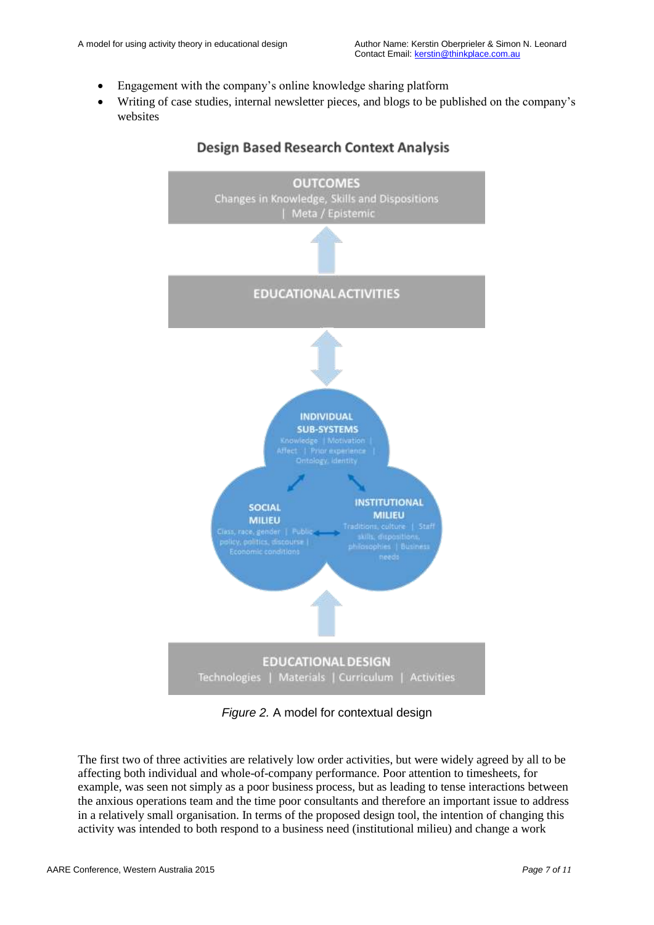- Engagement with the company"s online knowledge sharing platform
- Writing of case studies, internal newsletter pieces, and blogs to be published on the company"s websites



### **Design Based Research Context Analysis**

*Figure 2.* A model for contextual design

The first two of three activities are relatively low order activities, but were widely agreed by all to be affecting both individual and whole-of-company performance. Poor attention to timesheets, for example, was seen not simply as a poor business process, but as leading to tense interactions between the anxious operations team and the time poor consultants and therefore an important issue to address in a relatively small organisation. In terms of the proposed design tool, the intention of changing this activity was intended to both respond to a business need (institutional milieu) and change a work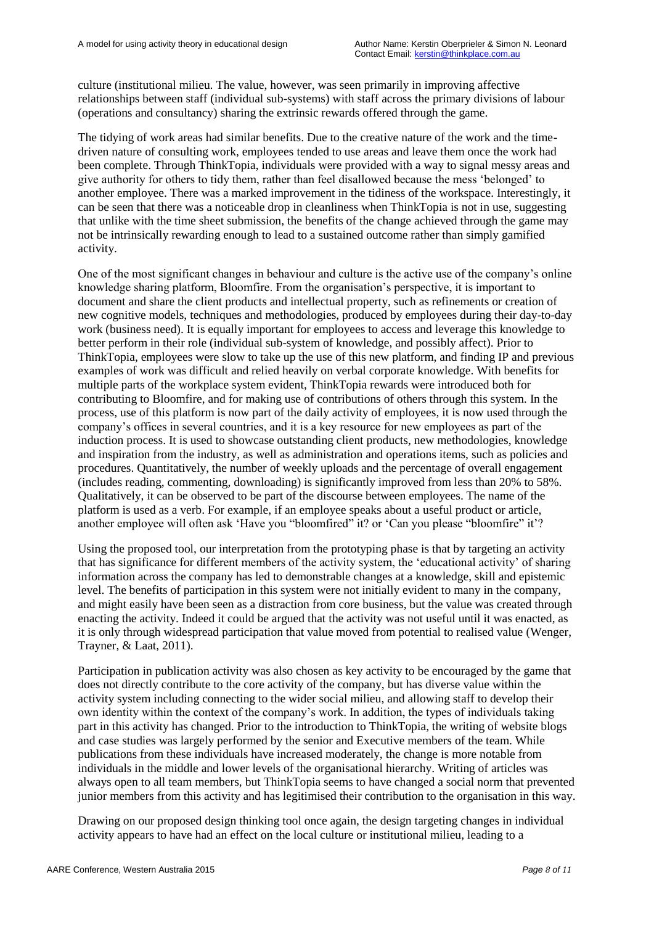culture (institutional milieu. The value, however, was seen primarily in improving affective relationships between staff (individual sub-systems) with staff across the primary divisions of labour (operations and consultancy) sharing the extrinsic rewards offered through the game.

The tidying of work areas had similar benefits. Due to the creative nature of the work and the timedriven nature of consulting work, employees tended to use areas and leave them once the work had been complete. Through ThinkTopia, individuals were provided with a way to signal messy areas and give authority for others to tidy them, rather than feel disallowed because the mess "belonged" to another employee. There was a marked improvement in the tidiness of the workspace. Interestingly, it can be seen that there was a noticeable drop in cleanliness when ThinkTopia is not in use, suggesting that unlike with the time sheet submission, the benefits of the change achieved through the game may not be intrinsically rewarding enough to lead to a sustained outcome rather than simply gamified activity.

One of the most significant changes in behaviour and culture is the active use of the company"s online knowledge sharing platform, Bloomfire. From the organisation"s perspective, it is important to document and share the client products and intellectual property, such as refinements or creation of new cognitive models, techniques and methodologies, produced by employees during their day-to-day work (business need). It is equally important for employees to access and leverage this knowledge to better perform in their role (individual sub-system of knowledge, and possibly affect). Prior to ThinkTopia, employees were slow to take up the use of this new platform, and finding IP and previous examples of work was difficult and relied heavily on verbal corporate knowledge. With benefits for multiple parts of the workplace system evident, ThinkTopia rewards were introduced both for contributing to Bloomfire, and for making use of contributions of others through this system. In the process, use of this platform is now part of the daily activity of employees, it is now used through the company"s offices in several countries, and it is a key resource for new employees as part of the induction process. It is used to showcase outstanding client products, new methodologies, knowledge and inspiration from the industry, as well as administration and operations items, such as policies and procedures. Quantitatively, the number of weekly uploads and the percentage of overall engagement (includes reading, commenting, downloading) is significantly improved from less than 20% to 58%. Qualitatively, it can be observed to be part of the discourse between employees. The name of the platform is used as a verb. For example, if an employee speaks about a useful product or article, another employee will often ask 'Have you "bloomfired" it? or 'Can you please "bloomfire" it'?

Using the proposed tool, our interpretation from the prototyping phase is that by targeting an activity that has significance for different members of the activity system, the "educational activity" of sharing information across the company has led to demonstrable changes at a knowledge, skill and epistemic level. The benefits of participation in this system were not initially evident to many in the company, and might easily have been seen as a distraction from core business, but the value was created through enacting the activity. Indeed it could be argued that the activity was not useful until it was enacted, as it is only through widespread participation that value moved from potential to realised value (Wenger, Trayner, & Laat, 2011).

Participation in publication activity was also chosen as key activity to be encouraged by the game that does not directly contribute to the core activity of the company, but has diverse value within the activity system including connecting to the wider social milieu, and allowing staff to develop their own identity within the context of the company"s work. In addition, the types of individuals taking part in this activity has changed. Prior to the introduction to ThinkTopia, the writing of website blogs and case studies was largely performed by the senior and Executive members of the team. While publications from these individuals have increased moderately, the change is more notable from individuals in the middle and lower levels of the organisational hierarchy. Writing of articles was always open to all team members, but ThinkTopia seems to have changed a social norm that prevented junior members from this activity and has legitimised their contribution to the organisation in this way.

Drawing on our proposed design thinking tool once again, the design targeting changes in individual activity appears to have had an effect on the local culture or institutional milieu, leading to a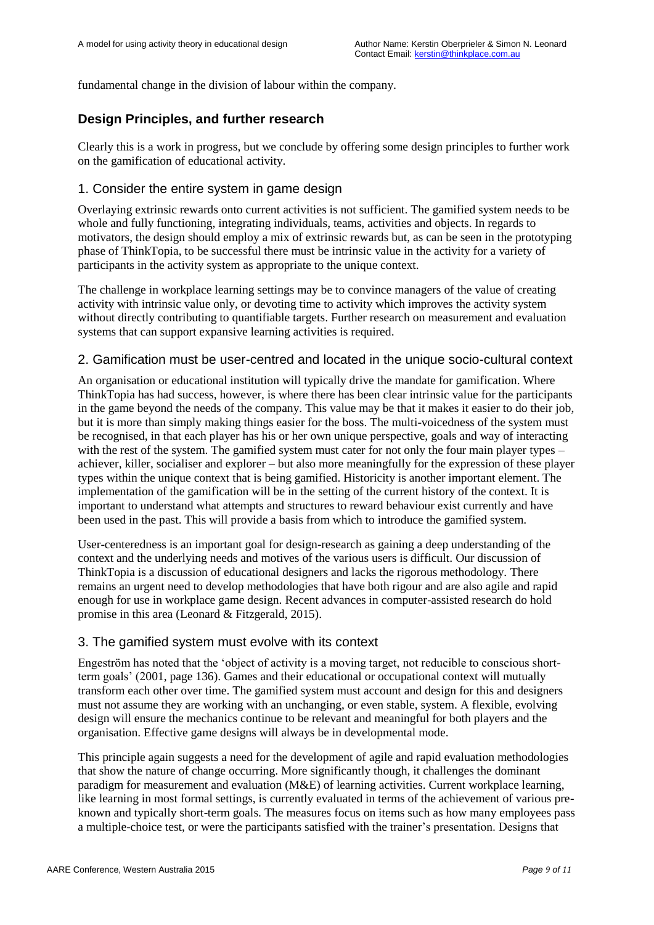fundamental change in the division of labour within the company.

## **Design Principles, and further research**

Clearly this is a work in progress, but we conclude by offering some design principles to further work on the gamification of educational activity.

#### 1. Consider the entire system in game design

Overlaying extrinsic rewards onto current activities is not sufficient. The gamified system needs to be whole and fully functioning, integrating individuals, teams, activities and objects. In regards to motivators, the design should employ a mix of extrinsic rewards but, as can be seen in the prototyping phase of ThinkTopia, to be successful there must be intrinsic value in the activity for a variety of participants in the activity system as appropriate to the unique context.

The challenge in workplace learning settings may be to convince managers of the value of creating activity with intrinsic value only, or devoting time to activity which improves the activity system without directly contributing to quantifiable targets. Further research on measurement and evaluation systems that can support expansive learning activities is required.

### 2. Gamification must be user-centred and located in the unique socio-cultural context

An organisation or educational institution will typically drive the mandate for gamification. Where ThinkTopia has had success, however, is where there has been clear intrinsic value for the participants in the game beyond the needs of the company. This value may be that it makes it easier to do their job, but it is more than simply making things easier for the boss. The multi-voicedness of the system must be recognised, in that each player has his or her own unique perspective, goals and way of interacting with the rest of the system. The gamified system must cater for not only the four main player types – achiever, killer, socialiser and explorer – but also more meaningfully for the expression of these player types within the unique context that is being gamified. Historicity is another important element. The implementation of the gamification will be in the setting of the current history of the context. It is important to understand what attempts and structures to reward behaviour exist currently and have been used in the past. This will provide a basis from which to introduce the gamified system.

User-centeredness is an important goal for design-research as gaining a deep understanding of the context and the underlying needs and motives of the various users is difficult. Our discussion of ThinkTopia is a discussion of educational designers and lacks the rigorous methodology. There remains an urgent need to develop methodologies that have both rigour and are also agile and rapid enough for use in workplace game design. Recent advances in computer-assisted research do hold promise in this area (Leonard & Fitzgerald, 2015).

#### 3. The gamified system must evolve with its context

Engeström has noted that the "object of activity is a moving target, not reducible to conscious shortterm goals" (2001, page 136). Games and their educational or occupational context will mutually transform each other over time. The gamified system must account and design for this and designers must not assume they are working with an unchanging, or even stable, system. A flexible, evolving design will ensure the mechanics continue to be relevant and meaningful for both players and the organisation. Effective game designs will always be in developmental mode.

This principle again suggests a need for the development of agile and rapid evaluation methodologies that show the nature of change occurring. More significantly though, it challenges the dominant paradigm for measurement and evaluation (M&E) of learning activities. Current workplace learning, like learning in most formal settings, is currently evaluated in terms of the achievement of various preknown and typically short-term goals. The measures focus on items such as how many employees pass a multiple-choice test, or were the participants satisfied with the trainer"s presentation. Designs that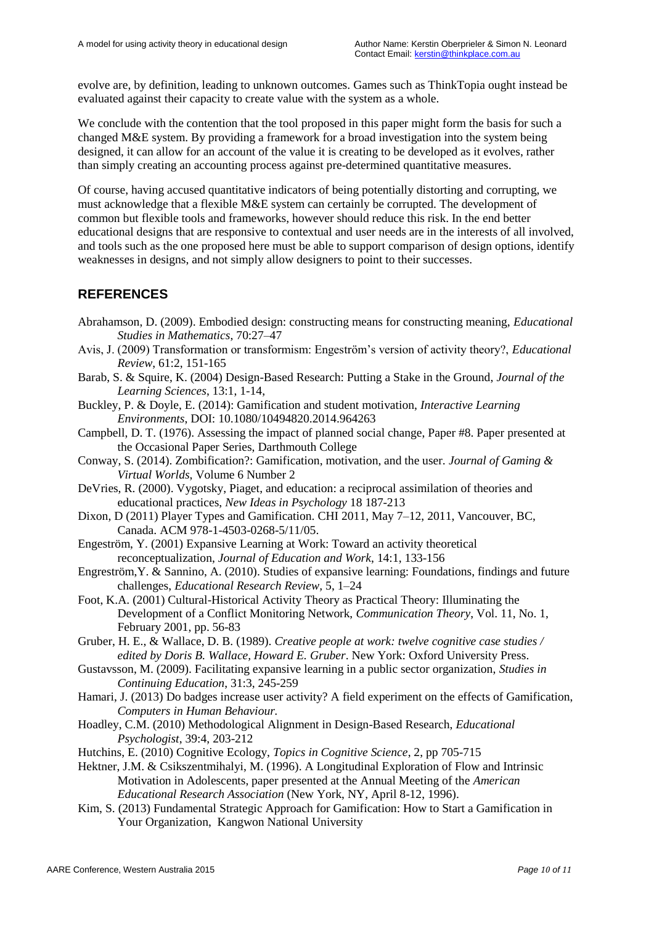evolve are, by definition, leading to unknown outcomes. Games such as ThinkTopia ought instead be evaluated against their capacity to create value with the system as a whole.

We conclude with the contention that the tool proposed in this paper might form the basis for such a changed M&E system. By providing a framework for a broad investigation into the system being designed, it can allow for an account of the value it is creating to be developed as it evolves, rather than simply creating an accounting process against pre-determined quantitative measures.

Of course, having accused quantitative indicators of being potentially distorting and corrupting, we must acknowledge that a flexible M&E system can certainly be corrupted. The development of common but flexible tools and frameworks, however should reduce this risk. In the end better educational designs that are responsive to contextual and user needs are in the interests of all involved, and tools such as the one proposed here must be able to support comparison of design options, identify weaknesses in designs, and not simply allow designers to point to their successes.

## **REFERENCES**

Abrahamson, D. (2009). Embodied design: constructing means for constructing meaning, *Educational Studies in Mathematics*, 70:27–47

- Avis, J. (2009) Transformation or transformism: Engeström"s version of activity theory?, *Educational Review*, 61:2, 151-165
- Barab, S. & Squire, K. (2004) Design-Based Research: Putting a Stake in the Ground, *Journal of the Learning Sciences*, 13:1, 1-14,
- Buckley, P. & Doyle, E. (2014): Gamification and student motivation, *Interactive Learning Environments*, DOI: 10.1080/10494820.2014.964263
- Campbell, D. T. (1976). Assessing the impact of planned social change, Paper #8. Paper presented at the Occasional Paper Series, Darthmouth College
- Conway, S. (2014). Zombification?: Gamification, motivation, and the user. *Journal of Gaming & Virtual Worlds*, Volume 6 Number 2
- DeVries, R. (2000). Vygotsky, Piaget, and education: a reciprocal assimilation of theories and educational practices, *New Ideas in Psychology* 18 187-213
- Dixon, D (2011) Player Types and Gamification. CHI 2011, May 7–12, 2011, Vancouver, BC, Canada. ACM 978-1-4503-0268-5/11/05.
- Engeström, Y. (2001) Expansive Learning at Work: Toward an activity theoretical reconceptualization, *Journal of Education and Work*, 14:1, 133-156
- Engreström,Y. & Sannino, A. (2010). Studies of expansive learning: Foundations, findings and future challenges, *Educational Research Review,* 5, 1–24
- Foot, K.A. (2001) Cultural-Historical Activity Theory as Practical Theory: Illuminating the Development of a Conflict Monitoring Network, *Communication Theory*, Vol. 11, No. 1, February 2001, pp. 56-83
- Gruber, H. E., & Wallace, D. B. (1989). *Creative people at work: twelve cognitive case studies / edited by Doris B. Wallace, Howard E. Gruber*. New York: Oxford University Press.
- Gustavsson, M. (2009). Facilitating expansive learning in a public sector organization, *Studies in Continuing Education*, 31:3, 245-259
- Hamari, J. (2013) Do badges increase user activity? A field experiment on the effects of Gamification, *Computers in Human Behaviour.*
- Hoadley, C.M. (2010) Methodological Alignment in Design-Based Research, *Educational Psychologist*, 39:4, 203-212
- Hutchins, E. (2010) Cognitive Ecology, *Topics in Cognitive Science*, 2, pp 705-715
- Hektner, J.M. & Csikszentmihalyi, M. (1996). A Longitudinal Exploration of Flow and Intrinsic Motivation in Adolescents, paper presented at the Annual Meeting of the *American Educational Research Association* (New York, NY, April 8-12, 1996).
- Kim, S. (2013) Fundamental Strategic Approach for Gamification: How to Start a Gamification in Your Organization, Kangwon National University